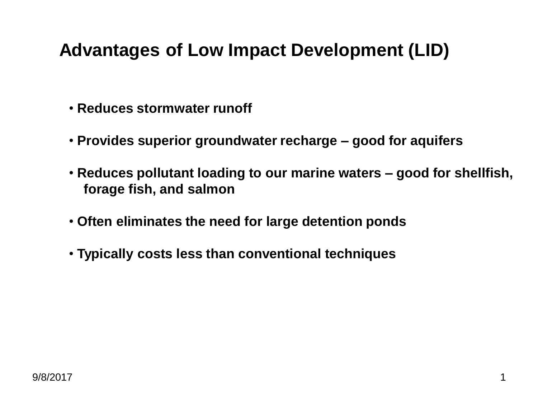## **Advantages of Low Impact Development (LID)**

- **Reduces stormwater runoff**
- **Provides superior groundwater recharge – good for aquifers**
- **Reduces pollutant loading to our marine waters – good for shellfish, forage fish, and salmon**
- **Often eliminates the need for large detention ponds**
- **Typically costs less than conventional techniques**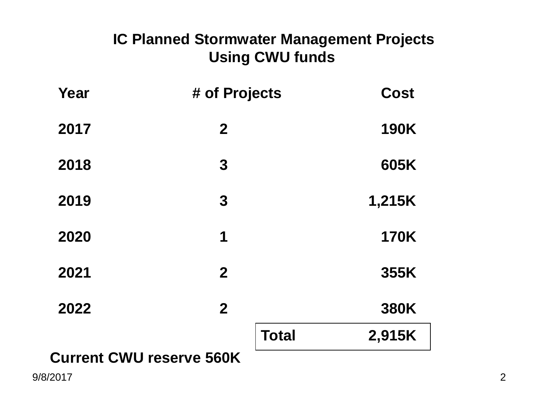## **IC Planned Stormwater Management Projects Using CWU funds**

| Year | # of Projects  | <b>Cost</b> |
|------|----------------|-------------|
| 2017 | $\mathbf{2}$   | <b>190K</b> |
| 2018 | 3              | 605K        |
| 2019 | 3              | 1,215K      |
| 2020 | 1              | <b>170K</b> |
| 2021 | $\overline{2}$ | 355K        |
| 2022 | $\mathbf{2}$   | <b>380K</b> |
|      | <b>Total</b>   | 2,915K      |
|      |                |             |

## **Current CWU reserve 560K**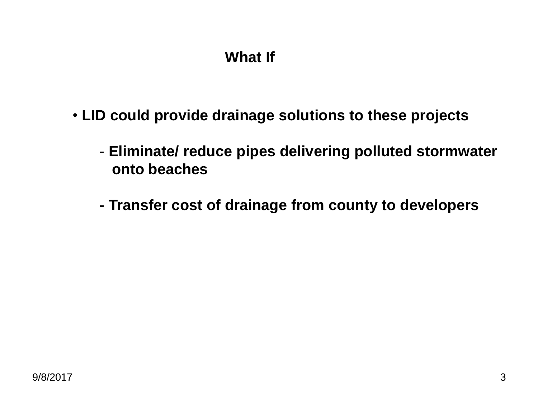## **What If**

- **LID could provide drainage solutions to these projects**
	- **Eliminate/ reduce pipes delivering polluted stormwater onto beaches**
	- **- Transfer cost of drainage from county to developers**